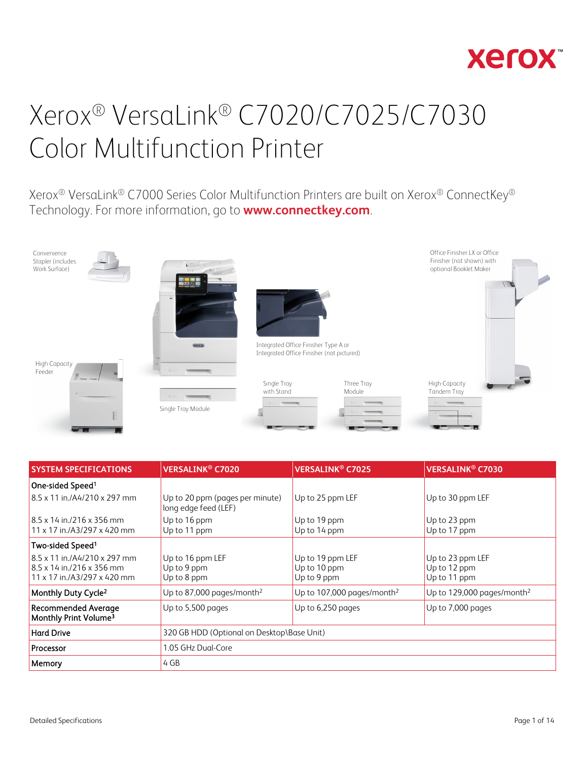

Xerox® VersaLink® C7000 Series Color Multifunction Printers are built on Xerox® ConnectKey® Technology. For more information, go to **[www.connectkey.com](http://www.connectkey.com/)**.



| <b>SYSTEM SPECIFICATIONS</b>                                    | <b>VERSALINK<sup>®</sup> C7020</b>                      | <b>VERSALINK® C7025</b>                | <b>VERSALINK<sup>®</sup> C7030</b>     |
|-----------------------------------------------------------------|---------------------------------------------------------|----------------------------------------|----------------------------------------|
| One-sided Speed <sup>1</sup>                                    |                                                         |                                        |                                        |
| 8.5 x 11 in./A4/210 x 297 mm                                    | Up to 20 ppm (pages per minute)<br>long edge feed (LEF) | Up to 25 ppm LEF                       | Up to 30 ppm LEF                       |
| $8.5 \times 14$ in $/216 \times 356$ mm                         | Up to 16 ppm                                            | Up to 19 ppm                           | Up to 23 ppm                           |
| $11 \times 17$ in /A3/297 x 420 mm                              | Up to 11 ppm                                            | Up to 14 ppm                           | Up to 17 ppm                           |
| Two-sided Speed <sup>1</sup>                                    |                                                         |                                        |                                        |
| 8.5 x 11 in./A4/210 x 297 mm                                    | Up to 16 ppm LEF                                        | Up to 19 ppm LEF                       | Up to 23 ppm LEF                       |
| $8.5 \times 14$ in $/216 \times 356$ mm                         | Up to 9 ppm                                             | Up to 10 ppm                           | Up to 12 ppm                           |
| $11 \times 17$ in /A3/297 x 420 mm                              | Up to 8 ppm                                             | Up to 9 ppm                            | Up to 11 ppm                           |
| Monthly Duty Cycle <sup>2</sup>                                 | Up to 87,000 pages/month <sup>2</sup>                   | Up to 107,000 pages/month <sup>2</sup> | Up to 129,000 pages/month <sup>2</sup> |
| <b>Recommended Average</b><br>Monthly Print Volume <sup>3</sup> | Up to 5,500 pages                                       | Up to 6,250 pages                      | Up to 7,000 pages                      |
| <b>Hard Drive</b>                                               | 320 GB HDD (Optional on Desktop\Base Unit)              |                                        |                                        |
| Processor                                                       | 1.05 GHz Dual-Core                                      |                                        |                                        |
| Memory                                                          | 4 GB                                                    |                                        |                                        |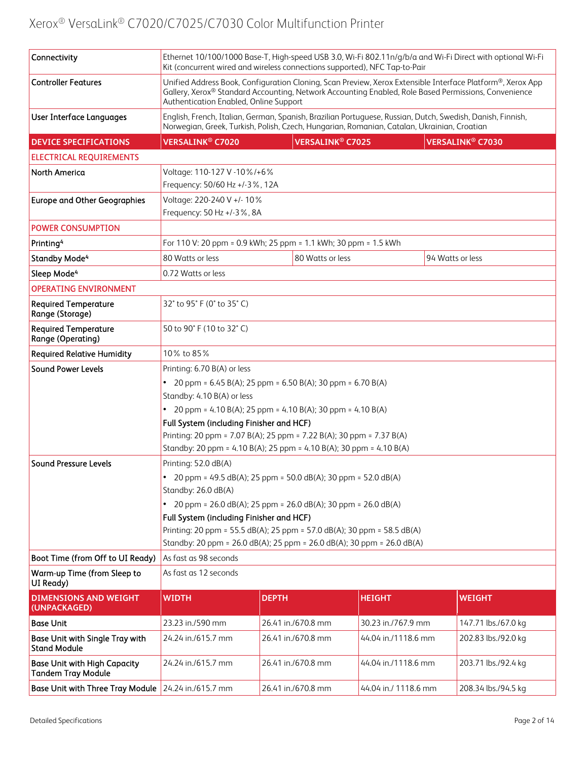| Connectivity                                                     | Ethernet 10/100/1000 Base-T, High-speed USB 3.0, Wi-Fi 802.11n/g/b/a and Wi-Fi Direct with optional Wi-Fi<br>Kit (concurrent wired and wireless connections supported), NFC Tap-to-Pair                                                                      |                                                                                             |                      |                                                                                                            |
|------------------------------------------------------------------|--------------------------------------------------------------------------------------------------------------------------------------------------------------------------------------------------------------------------------------------------------------|---------------------------------------------------------------------------------------------|----------------------|------------------------------------------------------------------------------------------------------------|
| <b>Controller Features</b>                                       | Unified Address Book, Configuration Cloning, Scan Preview, Xerox Extensible Interface Platform®, Xerox App<br>Gallery, Xerox® Standard Accounting, Network Accounting Enabled, Role Based Permissions, Convenience<br>Authentication Enabled, Online Support |                                                                                             |                      |                                                                                                            |
| <b>User Interface Languages</b>                                  |                                                                                                                                                                                                                                                              | Norwegian, Greek, Turkish, Polish, Czech, Hungarian, Romanian, Catalan, Ukrainian, Croatian |                      | English, French, Italian, German, Spanish, Brazilian Portuguese, Russian, Dutch, Swedish, Danish, Finnish, |
| <b>DEVICE SPECIFICATIONS</b>                                     | <b>VERSALINK<sup>®</sup> C7020</b>                                                                                                                                                                                                                           | <b>VERSALINK<sup>®</sup> C7025</b>                                                          |                      | <b>VERSALINK<sup>®</sup> C7030</b>                                                                         |
| <b>ELECTRICAL REQUIREMENTS</b>                                   |                                                                                                                                                                                                                                                              |                                                                                             |                      |                                                                                                            |
| <b>North America</b>                                             | Voltage: 110-127 V -10%/+6%<br>Frequency: 50/60 Hz +/-3%, 12A                                                                                                                                                                                                |                                                                                             |                      |                                                                                                            |
| <b>Europe and Other Geographies</b>                              | Voltage: 220-240 V +/- 10%<br>Frequency: 50 Hz +/-3%, 8A                                                                                                                                                                                                     |                                                                                             |                      |                                                                                                            |
| <b>POWER CONSUMPTION</b>                                         |                                                                                                                                                                                                                                                              |                                                                                             |                      |                                                                                                            |
| Printing <sup>4</sup>                                            |                                                                                                                                                                                                                                                              | For 110 V: 20 ppm = 0.9 kWh; 25 ppm = 1.1 kWh; 30 ppm = 1.5 kWh                             |                      |                                                                                                            |
| <b>Standby Mode4</b>                                             | 80 Watts or less                                                                                                                                                                                                                                             | 80 Watts or less                                                                            |                      | 94 Watts or less                                                                                           |
| Sleep Mode <sup>4</sup>                                          | 0.72 Watts or less                                                                                                                                                                                                                                           |                                                                                             |                      |                                                                                                            |
| <b>OPERATING ENVIRONMENT</b>                                     |                                                                                                                                                                                                                                                              |                                                                                             |                      |                                                                                                            |
| <b>Required Temperature</b><br>Range (Storage)                   | 32° to 95° F (0° to 35° C)                                                                                                                                                                                                                                   |                                                                                             |                      |                                                                                                            |
| <b>Required Temperature</b><br>Range (Operating)                 | 50 to 90° F (10 to 32° C)                                                                                                                                                                                                                                    |                                                                                             |                      |                                                                                                            |
| <b>Required Relative Humidity</b>                                | 10% to 85%                                                                                                                                                                                                                                                   |                                                                                             |                      |                                                                                                            |
| <b>Sound Power Levels</b>                                        | Printing: 6.70 B(A) or less                                                                                                                                                                                                                                  |                                                                                             |                      |                                                                                                            |
|                                                                  |                                                                                                                                                                                                                                                              | 20 ppm = $6.45 B(A)$ ; 25 ppm = $6.50 B(A)$ ; 30 ppm = $6.70 B(A)$                          |                      |                                                                                                            |
|                                                                  | Standby: 4.10 B(A) or less                                                                                                                                                                                                                                   |                                                                                             |                      |                                                                                                            |
|                                                                  | Full System (including Finisher and HCF)                                                                                                                                                                                                                     | • 20 ppm = 4.10 B(A); 25 ppm = 4.10 B(A); 30 ppm = 4.10 B(A)                                |                      |                                                                                                            |
|                                                                  |                                                                                                                                                                                                                                                              | Printing: 20 ppm = 7.07 B(A); 25 ppm = 7.22 B(A); 30 ppm = 7.37 B(A)                        |                      |                                                                                                            |
|                                                                  |                                                                                                                                                                                                                                                              | Standby: 20 ppm = 4.10 B(A); 25 ppm = 4.10 B(A); 30 ppm = 4.10 B(A)                         |                      |                                                                                                            |
| <b>Sound Pressure Levels</b>                                     | Printing: 52.0 dB(A)                                                                                                                                                                                                                                         |                                                                                             |                      |                                                                                                            |
|                                                                  | 20 ppm = 49.5 dB(A); 25 ppm = 50.0 dB(A); 30 ppm = 52.0 dB(A)                                                                                                                                                                                                |                                                                                             |                      |                                                                                                            |
|                                                                  | Standby: 26.0 dB(A)                                                                                                                                                                                                                                          |                                                                                             |                      |                                                                                                            |
|                                                                  | 20 ppm = 26.0 dB(A); 25 ppm = 26.0 dB(A); 30 ppm = 26.0 dB(A)                                                                                                                                                                                                |                                                                                             |                      |                                                                                                            |
|                                                                  | Full System (including Finisher and HCF)                                                                                                                                                                                                                     |                                                                                             |                      |                                                                                                            |
|                                                                  | Printing: 20 ppm = 55.5 dB(A); 25 ppm = 57.0 dB(A); 30 ppm = 58.5 dB(A)<br>Standby: 20 ppm = 26.0 dB(A); 25 ppm = 26.0 dB(A); 30 ppm = 26.0 dB(A)                                                                                                            |                                                                                             |                      |                                                                                                            |
| Boot Time (from Off to UI Ready)                                 | As fast as 98 seconds                                                                                                                                                                                                                                        |                                                                                             |                      |                                                                                                            |
| Warm-up Time (from Sleep to                                      | As fast as 12 seconds                                                                                                                                                                                                                                        |                                                                                             |                      |                                                                                                            |
| UI Ready)                                                        |                                                                                                                                                                                                                                                              |                                                                                             |                      |                                                                                                            |
| <b>DIMENSIONS AND WEIGHT</b><br>(UNPACKAGED)                     | <b>WIDTH</b>                                                                                                                                                                                                                                                 | <b>DEPTH</b>                                                                                | <b>HEIGHT</b>        | <b>WEIGHT</b>                                                                                              |
| <b>Base Unit</b>                                                 | 23.23 in./590 mm                                                                                                                                                                                                                                             | 26.41 in./670.8 mm                                                                          | 30.23 in./767.9 mm   | 147.71 lbs./67.0 kg                                                                                        |
| <b>Base Unit with Single Tray with</b><br><b>Stand Module</b>    | 24.24 in./615.7 mm                                                                                                                                                                                                                                           | 26.41 in./670.8 mm                                                                          | 44.04 in./1118.6 mm  | 202.83 lbs./92.0 kg                                                                                        |
| <b>Base Unit with High Capacity</b><br><b>Tandem Tray Module</b> | 24.24 in./615.7 mm                                                                                                                                                                                                                                           | 26.41 in./670.8 mm                                                                          | 44.04 in./1118.6 mm  | 203.71 lbs./92.4 kg                                                                                        |
| Base Unit with Three Tray Module 24.24 in./615.7 mm              |                                                                                                                                                                                                                                                              | 26.41 in./670.8 mm                                                                          | 44.04 in./ 1118.6 mm | 208.34 lbs./94.5 kg                                                                                        |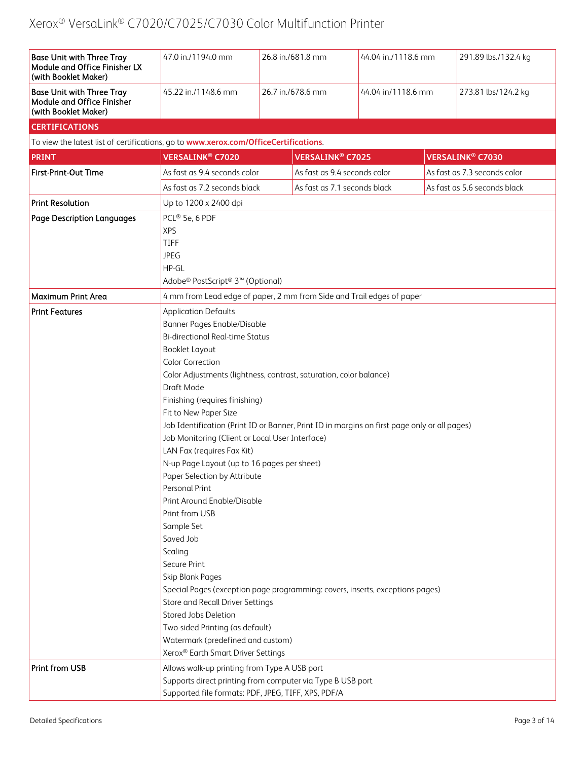| <b>Base Unit with Three Tray</b><br>Module and Office Finisher LX<br>(with Booklet Maker) | 47.0 in./1194.0 mm                                                                           | 26.8 in./681.8 mm | 44.04 in./1118.6 mm                |                              | 291.89 lbs./132.4 kg               |
|-------------------------------------------------------------------------------------------|----------------------------------------------------------------------------------------------|-------------------|------------------------------------|------------------------------|------------------------------------|
| <b>Base Unit with Three Tray</b><br>Module and Office Finisher<br>(with Booklet Maker)    | 45.22 in./1148.6 mm                                                                          | 26.7 in./678.6 mm | 44.04 in/1118.6 mm                 |                              | 273.81 lbs/124.2 kg                |
| <b>CERTIFICATIONS</b>                                                                     |                                                                                              |                   |                                    |                              |                                    |
| To view the latest list of certifications, go to www.xerox.com/OfficeCertifications.      |                                                                                              |                   |                                    |                              |                                    |
| <b>PRINT</b>                                                                              | <b>VERSALINK<sup>®</sup> C7020</b>                                                           |                   | <b>VERSALINK<sup>®</sup> C7025</b> |                              | <b>VERSALINK<sup>®</sup> C7030</b> |
| First-Print-Out Time                                                                      | As fast as 9.4 seconds color                                                                 |                   | As fast as 9.4 seconds color       |                              | As fast as 7.3 seconds color       |
|                                                                                           | As fast as 7.2 seconds black                                                                 |                   | As fast as 7.1 seconds black       | As fast as 5.6 seconds black |                                    |
|                                                                                           |                                                                                              |                   |                                    |                              |                                    |
| <b>Print Resolution</b>                                                                   | Up to 1200 x 2400 dpi                                                                        |                   |                                    |                              |                                    |
| <b>Page Description Languages</b>                                                         | PCL® 5e, 6 PDF                                                                               |                   |                                    |                              |                                    |
|                                                                                           | <b>XPS</b>                                                                                   |                   |                                    |                              |                                    |
|                                                                                           | TIFF<br><b>JPEG</b>                                                                          |                   |                                    |                              |                                    |
|                                                                                           | HP-GL                                                                                        |                   |                                    |                              |                                    |
|                                                                                           | Adobe® PostScript® 3™ (Optional)                                                             |                   |                                    |                              |                                    |
|                                                                                           |                                                                                              |                   |                                    |                              |                                    |
| Maximum Print Area                                                                        | 4 mm from Lead edge of paper, 2 mm from Side and Trail edges of paper                        |                   |                                    |                              |                                    |
| <b>Print Features</b>                                                                     | <b>Application Defaults</b>                                                                  |                   |                                    |                              |                                    |
|                                                                                           | Banner Pages Enable/Disable                                                                  |                   |                                    |                              |                                    |
|                                                                                           | <b>Bi-directional Real-time Status</b>                                                       |                   |                                    |                              |                                    |
|                                                                                           | Booklet Layout                                                                               |                   |                                    |                              |                                    |
|                                                                                           | <b>Color Correction</b>                                                                      |                   |                                    |                              |                                    |
|                                                                                           | Color Adjustments (lightness, contrast, saturation, color balance)                           |                   |                                    |                              |                                    |
|                                                                                           | Draft Mode                                                                                   |                   |                                    |                              |                                    |
|                                                                                           | Finishing (requires finishing)<br>Fit to New Paper Size                                      |                   |                                    |                              |                                    |
|                                                                                           | Job Identification (Print ID or Banner, Print ID in margins on first page only or all pages) |                   |                                    |                              |                                    |
|                                                                                           | Job Monitoring (Client or Local User Interface)                                              |                   |                                    |                              |                                    |
|                                                                                           | LAN Fax (requires Fax Kit)                                                                   |                   |                                    |                              |                                    |
|                                                                                           | N-up Page Layout (up to 16 pages per sheet)                                                  |                   |                                    |                              |                                    |
|                                                                                           | Paper Selection by Attribute                                                                 |                   |                                    |                              |                                    |
|                                                                                           | Personal Print                                                                               |                   |                                    |                              |                                    |
|                                                                                           | Print Around Enable/Disable                                                                  |                   |                                    |                              |                                    |
|                                                                                           | Print from USB                                                                               |                   |                                    |                              |                                    |
|                                                                                           | Sample Set                                                                                   |                   |                                    |                              |                                    |
|                                                                                           | Saved Job                                                                                    |                   |                                    |                              |                                    |
|                                                                                           | Scaling                                                                                      |                   |                                    |                              |                                    |
|                                                                                           | Secure Print                                                                                 |                   |                                    |                              |                                    |
|                                                                                           | Skip Blank Pages                                                                             |                   |                                    |                              |                                    |
|                                                                                           | Special Pages (exception page programming: covers, inserts, exceptions pages)                |                   |                                    |                              |                                    |
|                                                                                           | Store and Recall Driver Settings<br>Stored Jobs Deletion                                     |                   |                                    |                              |                                    |
|                                                                                           | Two-sided Printing (as default)                                                              |                   |                                    |                              |                                    |
|                                                                                           | Watermark (predefined and custom)                                                            |                   |                                    |                              |                                    |
|                                                                                           | Xerox® Earth Smart Driver Settings                                                           |                   |                                    |                              |                                    |
| Print from USB                                                                            | Allows walk-up printing from Type A USB port                                                 |                   |                                    |                              |                                    |
|                                                                                           | Supports direct printing from computer via Type B USB port                                   |                   |                                    |                              |                                    |
|                                                                                           | Supported file formats: PDF, JPEG, TIFF, XPS, PDF/A                                          |                   |                                    |                              |                                    |
|                                                                                           |                                                                                              |                   |                                    |                              |                                    |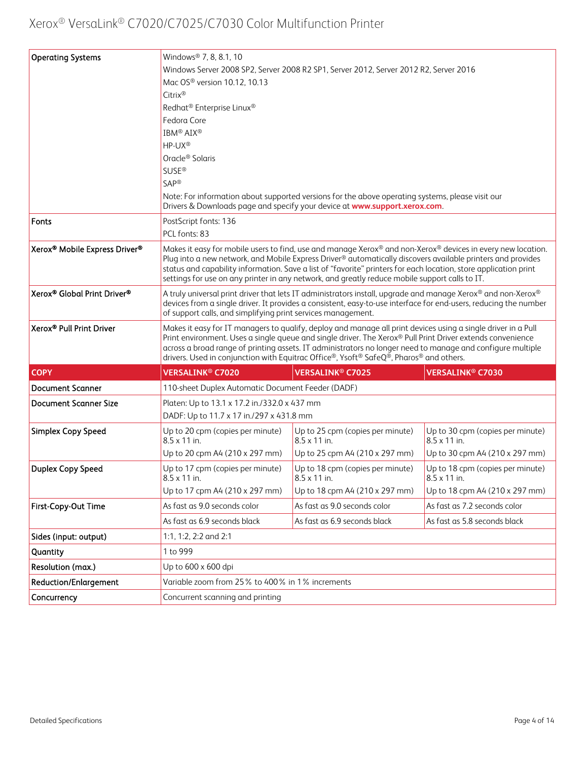| <b>Operating Systems</b>                              | Windows® 7, 8, 8.1, 10                                                                                                                                                                                                                                                                                                                                                                                                                           |                                                                                                                                                                                |                                                         |
|-------------------------------------------------------|--------------------------------------------------------------------------------------------------------------------------------------------------------------------------------------------------------------------------------------------------------------------------------------------------------------------------------------------------------------------------------------------------------------------------------------------------|--------------------------------------------------------------------------------------------------------------------------------------------------------------------------------|---------------------------------------------------------|
|                                                       |                                                                                                                                                                                                                                                                                                                                                                                                                                                  | Windows Server 2008 SP2, Server 2008 R2 SP1, Server 2012, Server 2012 R2, Server 2016                                                                                          |                                                         |
|                                                       | Mac OS <sup>®</sup> version 10.12, 10.13                                                                                                                                                                                                                                                                                                                                                                                                         |                                                                                                                                                                                |                                                         |
|                                                       | Citrix®                                                                                                                                                                                                                                                                                                                                                                                                                                          |                                                                                                                                                                                |                                                         |
|                                                       | Redhat <sup>®</sup> Enterprise Linux <sup>®</sup>                                                                                                                                                                                                                                                                                                                                                                                                |                                                                                                                                                                                |                                                         |
|                                                       | Fedora Core                                                                                                                                                                                                                                                                                                                                                                                                                                      |                                                                                                                                                                                |                                                         |
|                                                       | IBM <sup>®</sup> AIX <sup>®</sup>                                                                                                                                                                                                                                                                                                                                                                                                                |                                                                                                                                                                                |                                                         |
|                                                       | HP-UX®                                                                                                                                                                                                                                                                                                                                                                                                                                           |                                                                                                                                                                                |                                                         |
|                                                       | Oracle <sup>®</sup> Solaris                                                                                                                                                                                                                                                                                                                                                                                                                      |                                                                                                                                                                                |                                                         |
|                                                       | <b>SUSE®</b>                                                                                                                                                                                                                                                                                                                                                                                                                                     |                                                                                                                                                                                |                                                         |
|                                                       | SAP®                                                                                                                                                                                                                                                                                                                                                                                                                                             |                                                                                                                                                                                |                                                         |
|                                                       |                                                                                                                                                                                                                                                                                                                                                                                                                                                  | Note: For information about supported versions for the above operating systems, please visit our<br>Drivers & Downloads page and specify your device at www.support.xerox.com. |                                                         |
| Fonts                                                 | PostScript fonts: 136                                                                                                                                                                                                                                                                                                                                                                                                                            |                                                                                                                                                                                |                                                         |
|                                                       | PCL fonts: 83                                                                                                                                                                                                                                                                                                                                                                                                                                    |                                                                                                                                                                                |                                                         |
| Xerox <sup>®</sup> Mobile Express Driver <sup>®</sup> | Makes it easy for mobile users to find, use and manage Xerox® and non-Xerox® devices in every new location.<br>Plug into a new network, and Mobile Express Driver® automatically discovers available printers and provides<br>status and capability information. Save a list of "favorite" printers for each location, store application print<br>settings for use on any printer in any network, and greatly reduce mobile support calls to IT. |                                                                                                                                                                                |                                                         |
| Xerox® Global Print Driver®                           | A truly universal print driver that lets IT administrators install, upgrade and manage Xerox® and non-Xerox®<br>devices from a single driver. It provides a consistent, easy-to-use interface for end-users, reducing the number<br>of support calls, and simplifying print services management.                                                                                                                                                 |                                                                                                                                                                                |                                                         |
| Xerox <sup>®</sup> Pull Print Driver                  | Makes it easy for IT managers to qualify, deploy and manage all print devices using a single driver in a Pull<br>Print environment. Uses a single queue and single driver. The Xerox® Pull Print Driver extends convenience<br>across a broad range of printing assets. IT administrators no longer need to manage and configure multiple<br>drivers. Used in conjunction with Equitrac Office®, Ysoft® SafeQ®, Pharos® and others.              |                                                                                                                                                                                |                                                         |
| <b>COPY</b>                                           | <b>VERSALINK<sup>®</sup> C7020</b>                                                                                                                                                                                                                                                                                                                                                                                                               | <b>VERSALINK<sup>®</sup> C7025</b>                                                                                                                                             | VERSALINK® C7030                                        |
| <b>Document Scanner</b>                               | 110-sheet Duplex Automatic Document Feeder (DADF)                                                                                                                                                                                                                                                                                                                                                                                                |                                                                                                                                                                                |                                                         |
| <b>Document Scanner Size</b>                          | Platen: Up to 13.1 x 17.2 in./332.0 x 437 mm                                                                                                                                                                                                                                                                                                                                                                                                     |                                                                                                                                                                                |                                                         |
|                                                       | DADF: Up to 11.7 x 17 in./297 x 431.8 mm                                                                                                                                                                                                                                                                                                                                                                                                         |                                                                                                                                                                                |                                                         |
| Simplex Copy Speed                                    | Up to 20 cpm (copies per minute)<br>$8.5 \times 11$ in.                                                                                                                                                                                                                                                                                                                                                                                          | Up to 25 cpm (copies per minute)<br>$8.5 \times 11$ in.                                                                                                                        | Up to 30 cpm (copies per minute)<br>$8.5 \times 11$ in. |
|                                                       | Up to 20 cpm A4 (210 x 297 mm)                                                                                                                                                                                                                                                                                                                                                                                                                   | Up to 25 cpm A4 (210 x 297 mm)                                                                                                                                                 | Up to 30 cpm A4 (210 x 297 mm)                          |
| Duplex Copy Speed                                     | Up to 17 cpm (copies per minute)<br>$8.5 \times 11$ in.                                                                                                                                                                                                                                                                                                                                                                                          | Up to 18 cpm (copies per minute)<br>$8.5 \times 11$ in.                                                                                                                        | Up to 18 cpm (copies per minute)<br>$8.5 \times 11$ in. |
|                                                       | Up to 17 cpm A4 (210 x 297 mm)                                                                                                                                                                                                                                                                                                                                                                                                                   | Up to 18 cpm A4 (210 x 297 mm)                                                                                                                                                 | Up to 18 cpm A4 (210 x 297 mm)                          |
| First-Copy-Out Time                                   | As fast as 9.0 seconds color                                                                                                                                                                                                                                                                                                                                                                                                                     | As fast as 9.0 seconds color                                                                                                                                                   | As fast as 7.2 seconds color                            |
|                                                       | As fast as 6.9 seconds black                                                                                                                                                                                                                                                                                                                                                                                                                     | As fast as 6.9 seconds black                                                                                                                                                   | As fast as 5.8 seconds black                            |
| Sides (input: output)                                 | 1:1, 1:2, 2:2 and 2:1                                                                                                                                                                                                                                                                                                                                                                                                                            |                                                                                                                                                                                |                                                         |
| Quantity                                              | 1 to 999                                                                                                                                                                                                                                                                                                                                                                                                                                         |                                                                                                                                                                                |                                                         |
| Resolution (max.)                                     | Up to 600 x 600 dpi                                                                                                                                                                                                                                                                                                                                                                                                                              |                                                                                                                                                                                |                                                         |
| <b>Reduction/Enlargement</b>                          | Variable zoom from 25% to 400% in 1% increments                                                                                                                                                                                                                                                                                                                                                                                                  |                                                                                                                                                                                |                                                         |
| Concurrency                                           | Concurrent scanning and printing                                                                                                                                                                                                                                                                                                                                                                                                                 |                                                                                                                                                                                |                                                         |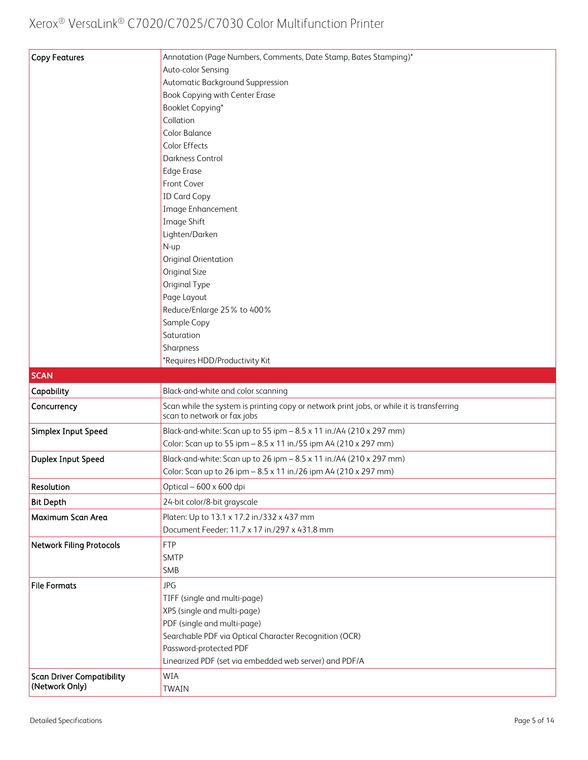| <b>Copy Features</b>                               | Annotation (Page Numbers, Comments, Date Stamp, Bates Stamping)*                                                         |
|----------------------------------------------------|--------------------------------------------------------------------------------------------------------------------------|
|                                                    | Auto-color Sensing                                                                                                       |
|                                                    | Automatic Background Suppression                                                                                         |
|                                                    | Book Copying with Center Erase                                                                                           |
|                                                    | Booklet Copying*                                                                                                         |
|                                                    | Collation                                                                                                                |
|                                                    | Color Balance                                                                                                            |
|                                                    | Color Effects                                                                                                            |
|                                                    | Darkness Control                                                                                                         |
|                                                    | <b>Edge Erase</b>                                                                                                        |
|                                                    | Front Cover                                                                                                              |
|                                                    | <b>ID Card Copy</b>                                                                                                      |
|                                                    | Image Enhancement                                                                                                        |
|                                                    | Image Shift                                                                                                              |
|                                                    | Lighten/Darken                                                                                                           |
|                                                    | N-up                                                                                                                     |
|                                                    | Original Orientation                                                                                                     |
|                                                    | Original Size                                                                                                            |
|                                                    | Original Type                                                                                                            |
|                                                    | Page Layout                                                                                                              |
|                                                    | Reduce/Enlarge 25% to 400%                                                                                               |
|                                                    | Sample Copy                                                                                                              |
|                                                    | Saturation                                                                                                               |
|                                                    | Sharpness                                                                                                                |
|                                                    | *Requires HDD/Productivity Kit                                                                                           |
|                                                    |                                                                                                                          |
| <b>SCAN</b>                                        |                                                                                                                          |
| Capability                                         | Black-and-white and color scanning                                                                                       |
| Concurrency                                        | Scan while the system is printing copy or network print jobs, or while it is transferring<br>scan to network or fax jobs |
|                                                    | Black-and-white: Scan up to 55 ipm - 8.5 x 11 in./A4 (210 x 297 mm)                                                      |
| Simplex Input Speed                                | Color: Scan up to 55 ipm - 8.5 x 11 in./55 ipm A4 (210 x 297 mm)                                                         |
|                                                    |                                                                                                                          |
| Duplex Input Speed                                 | Black-and-white: Scan up to 26 ipm - 8.5 x 11 in./A4 (210 x 297 mm)                                                      |
|                                                    | Color: Scan up to 26 ipm - 8.5 x 11 in./26 ipm A4 (210 x 297 mm)                                                         |
| Resolution                                         | Optical - 600 x 600 dpi                                                                                                  |
| <b>Bit Depth</b>                                   | 24-bit color/8-bit grayscale                                                                                             |
| Maximum Scan Area                                  | Platen: Up to 13.1 x 17.2 in./332 x 437 mm                                                                               |
|                                                    | Document Feeder: 11.7 x 17 in./297 x 431.8 mm                                                                            |
| <b>Network Filing Protocols</b>                    | <b>FTP</b>                                                                                                               |
|                                                    | <b>SMTP</b>                                                                                                              |
|                                                    | SMB                                                                                                                      |
| <b>File Formats</b>                                | <b>JPG</b>                                                                                                               |
|                                                    | TIFF (single and multi-page)                                                                                             |
|                                                    | XPS (single and multi-page)                                                                                              |
|                                                    | PDF (single and multi-page)                                                                                              |
|                                                    | Searchable PDF via Optical Character Recognition (OCR)                                                                   |
|                                                    | Password-protected PDF                                                                                                   |
|                                                    | Linearized PDF (set via embedded web server) and PDF/A                                                                   |
| <b>Scan Driver Compatibility</b><br>(Network Only) | WIA<br><b>TWAIN</b>                                                                                                      |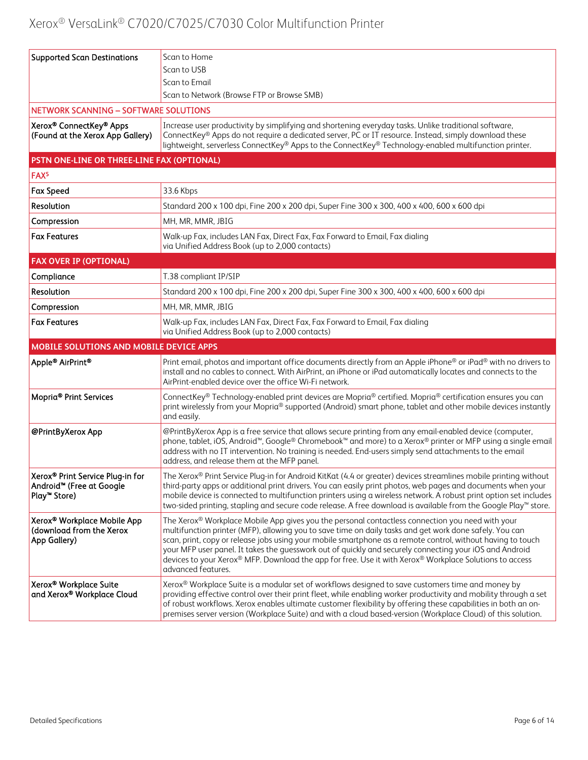| <b>Supported Scan Destinations</b>                                                                               | Scan to Home                                                                                                                                                                                                                                                                                                                                                                                                                                                                                                                                                           |
|------------------------------------------------------------------------------------------------------------------|------------------------------------------------------------------------------------------------------------------------------------------------------------------------------------------------------------------------------------------------------------------------------------------------------------------------------------------------------------------------------------------------------------------------------------------------------------------------------------------------------------------------------------------------------------------------|
|                                                                                                                  | Scan to USB                                                                                                                                                                                                                                                                                                                                                                                                                                                                                                                                                            |
|                                                                                                                  | Scan to Email                                                                                                                                                                                                                                                                                                                                                                                                                                                                                                                                                          |
|                                                                                                                  | Scan to Network (Browse FTP or Browse SMB)                                                                                                                                                                                                                                                                                                                                                                                                                                                                                                                             |
| <b>NETWORK SCANNING - SOFTWARE SOLUTIONS</b>                                                                     |                                                                                                                                                                                                                                                                                                                                                                                                                                                                                                                                                                        |
| Xerox® ConnectKey® Apps<br>(Found at the Xerox App Gallery)                                                      | Increase user productivity by simplifying and shortening everyday tasks. Unlike traditional software,<br>ConnectKey® Apps do not require a dedicated server, PC or IT resource. Instead, simply download these<br>lightweight, serverless ConnectKey® Apps to the ConnectKey® Technology-enabled multifunction printer.                                                                                                                                                                                                                                                |
| PSTN ONE-LINE OR THREE-LINE FAX (OPTIONAL)                                                                       |                                                                                                                                                                                                                                                                                                                                                                                                                                                                                                                                                                        |
| FAX <sup>5</sup>                                                                                                 |                                                                                                                                                                                                                                                                                                                                                                                                                                                                                                                                                                        |
| <b>Fax Speed</b>                                                                                                 | 33.6 Kbps                                                                                                                                                                                                                                                                                                                                                                                                                                                                                                                                                              |
| Resolution                                                                                                       | Standard 200 x 100 dpi, Fine 200 x 200 dpi, Super Fine 300 x 300, 400 x 400, 600 x 600 dpi                                                                                                                                                                                                                                                                                                                                                                                                                                                                             |
| Compression                                                                                                      | MH, MR, MMR, JBIG                                                                                                                                                                                                                                                                                                                                                                                                                                                                                                                                                      |
| <b>Fax Features</b>                                                                                              | Walk-up Fax, includes LAN Fax, Direct Fax, Fax Forward to Email, Fax dialing<br>via Unified Address Book (up to 2,000 contacts)                                                                                                                                                                                                                                                                                                                                                                                                                                        |
| <b>FAX OVER IP (OPTIONAL)</b>                                                                                    |                                                                                                                                                                                                                                                                                                                                                                                                                                                                                                                                                                        |
| Compliance                                                                                                       | T.38 compliant IP/SIP                                                                                                                                                                                                                                                                                                                                                                                                                                                                                                                                                  |
| Resolution                                                                                                       | Standard 200 x 100 dpi, Fine 200 x 200 dpi, Super Fine 300 x 300, 400 x 400, 600 x 600 dpi                                                                                                                                                                                                                                                                                                                                                                                                                                                                             |
| Compression                                                                                                      | MH, MR, MMR, JBIG                                                                                                                                                                                                                                                                                                                                                                                                                                                                                                                                                      |
| <b>Fax Features</b>                                                                                              | Walk-up Fax, includes LAN Fax, Direct Fax, Fax Forward to Email, Fax dialing<br>via Unified Address Book (up to 2,000 contacts)                                                                                                                                                                                                                                                                                                                                                                                                                                        |
| MOBILE SOLUTIONS AND MOBILE DEVICE APPS                                                                          |                                                                                                                                                                                                                                                                                                                                                                                                                                                                                                                                                                        |
| Apple® AirPrint®                                                                                                 | Print email, photos and important office documents directly from an Apple iPhone® or iPad® with no drivers to<br>install and no cables to connect. With AirPrint, an iPhone or iPad automatically locates and connects to the<br>AirPrint-enabled device over the office Wi-Fi network.                                                                                                                                                                                                                                                                                |
| Mopria <sup>®</sup> Print Services                                                                               | ConnectKey® Technology-enabled print devices are Mopria® certified. Mopria® certification ensures you can<br>print wirelessly from your Mopria® supported (Android) smart phone, tablet and other mobile devices instantly<br>and easily.                                                                                                                                                                                                                                                                                                                              |
| @PrintByXerox App                                                                                                | @PrintByXerox App is a free service that allows secure printing from any email-enabled device (computer,<br>phone, tablet, iOS, Android <sup>™</sup> , Google® Chromebook <sup>™</sup> and more) to a Xerox® printer or MFP using a single email<br>address with no IT intervention. No training is needed. End-users simply send attachments to the email<br>address, and release them at the MFP panel.                                                                                                                                                              |
| Xerox <sup>®</sup> Print Service Plug-in for<br>Android <sup>™</sup> (Free at Google<br>Play <sup>™</sup> Store) | The Xerox® Print Service Plug-in for Android KitKat (4.4 or greater) devices streamlines mobile printing without<br>third-party apps or additional print drivers. You can easily print photos, web pages and documents when your<br>mobile device is connected to multifunction printers using a wireless network. A robust print option set includes<br>two-sided printing, stapling and secure code release. A free download is available from the Google Play™ store.                                                                                               |
| Xerox® Workplace Mobile App<br>(download from the Xerox<br>App Gallery)                                          | The Xerox® Workplace Mobile App gives you the personal contactless connection you need with your<br>multifunction printer (MFP), allowing you to save time on daily tasks and get work done safely. You can<br>scan, print, copy or release jobs using your mobile smartphone as a remote control, without having to touch<br>your MFP user panel. It takes the guesswork out of quickly and securely connecting your iOS and Android<br>devices to your Xerox® MFP. Download the app for free. Use it with Xerox® Workplace Solutions to access<br>advanced features. |
| Xerox® Workplace Suite<br>and Xerox® Workplace Cloud                                                             | Xerox® Workplace Suite is a modular set of workflows designed to save customers time and money by<br>providing effective control over their print fleet, while enabling worker productivity and mobility through a set<br>of robust workflows. Xerox enables ultimate customer flexibility by offering these capabilities in both an on-<br>premises server version (Workplace Suite) and with a cloud based-version (Workplace Cloud) of this solution.                                                                                                               |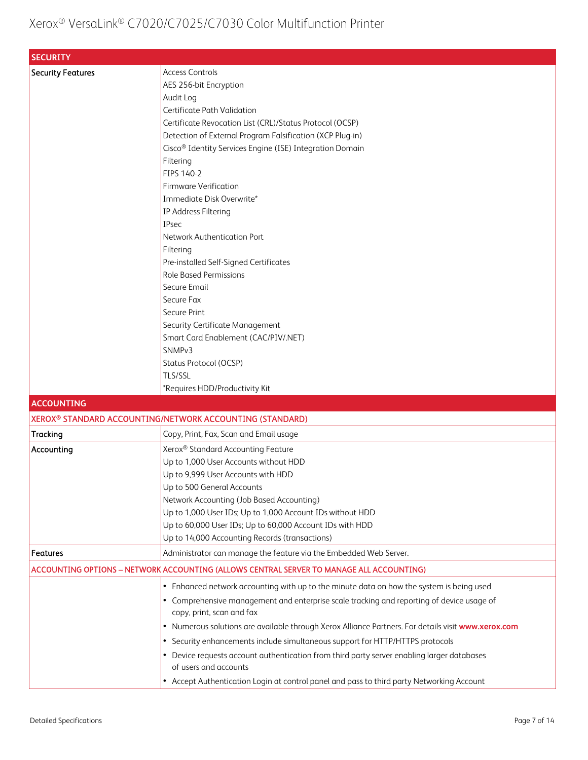| <b>SECURITY</b>          |                                                                                                   |
|--------------------------|---------------------------------------------------------------------------------------------------|
| <b>Security Features</b> | <b>Access Controls</b>                                                                            |
|                          | AES 256-bit Encryption                                                                            |
|                          | Audit Log                                                                                         |
|                          | Certificate Path Validation                                                                       |
|                          | Certificate Revocation List (CRL)/Status Protocol (OCSP)                                          |
|                          | Detection of External Program Falsification (XCP Plug-in)                                         |
|                          | Cisco <sup>®</sup> Identity Services Engine (ISE) Integration Domain                              |
|                          | Filtering                                                                                         |
|                          | FIPS 140-2                                                                                        |
|                          | <b>Firmware Verification</b>                                                                      |
|                          | Immediate Disk Overwrite*                                                                         |
|                          | IP Address Filtering                                                                              |
|                          | IPsec                                                                                             |
|                          | Network Authentication Port                                                                       |
|                          | Filtering                                                                                         |
|                          | Pre-installed Self-Signed Certificates                                                            |
|                          | <b>Role Based Permissions</b>                                                                     |
|                          | Secure Email                                                                                      |
|                          | Secure Fax                                                                                        |
|                          | Secure Print                                                                                      |
|                          | Security Certificate Management                                                                   |
|                          | Smart Card Enablement (CAC/PIV/.NET)                                                              |
|                          | SNMP <sub>v3</sub>                                                                                |
|                          | Status Protocol (OCSP)                                                                            |
|                          | <b>TLS/SSL</b>                                                                                    |
|                          | *Requires HDD/Productivity Kit                                                                    |
| <b>ACCOUNTING</b>        |                                                                                                   |
|                          | XEROX® STANDARD ACCOUNTING/NETWORK ACCOUNTING (STANDARD)                                          |
| Tracking                 | Copy, Print, Fax, Scan and Email usage                                                            |
| Accounting               | Xerox <sup>®</sup> Standard Accounting Feature                                                    |
|                          | Up to 1,000 User Accounts without HDD                                                             |
|                          | Up to 9,999 User Accounts with HDD                                                                |
|                          | Up to 500 General Accounts                                                                        |
|                          | Network Accounting (Job Based Accounting)                                                         |
|                          | Up to 1,000 User IDs; Up to 1,000 Account IDs without HDD                                         |
|                          | Up to 60,000 User IDs; Up to 60,000 Account IDs with HDD                                          |
|                          | Up to 14,000 Accounting Records (transactions)                                                    |
| <b>Features</b>          | Administrator can manage the feature via the Embedded Web Server.                                 |
|                          | ACCOUNTING OPTIONS - NETWORK ACCOUNTING (ALLOWS CENTRAL SERVER TO MANAGE ALL ACCOUNTING)          |
|                          | Enhanced network accounting with up to the minute data on how the system is being used<br>٠       |
|                          | • Comprehensive management and enterprise scale tracking and reporting of device usage of         |
|                          | copy, print, scan and fax                                                                         |
|                          | Numerous solutions are available through Xerox Alliance Partners. For details visit www.xerox.com |
|                          | • Security enhancements include simultaneous support for HTTP/HTTPS protocols                     |
|                          | Device requests account authentication from third party server enabling larger databases          |
|                          | of users and accounts                                                                             |
|                          | • Accept Authentication Login at control panel and pass to third party Networking Account         |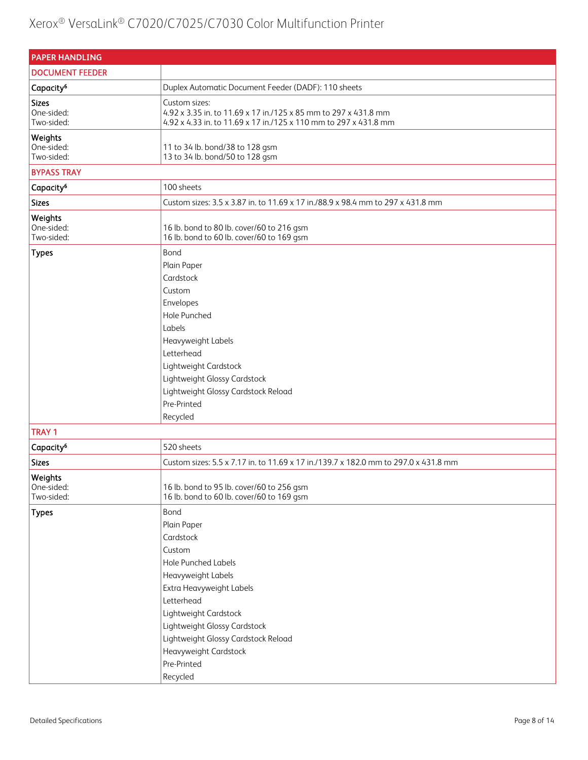| <b>PAPER HANDLING</b>                    |                                                                                                                                                                                                                                                                                              |
|------------------------------------------|----------------------------------------------------------------------------------------------------------------------------------------------------------------------------------------------------------------------------------------------------------------------------------------------|
| <b>DOCUMENT FEEDER</b>                   |                                                                                                                                                                                                                                                                                              |
| Capacity <sup>6</sup>                    | Duplex Automatic Document Feeder (DADF): 110 sheets                                                                                                                                                                                                                                          |
| <b>Sizes</b><br>One-sided:<br>Two-sided: | Custom sizes:<br>4.92 x 3.35 in. to 11.69 x 17 in./125 x 85 mm to 297 x 431.8 mm<br>4.92 x 4.33 in. to 11.69 x 17 in./125 x 110 mm to 297 x 431.8 mm                                                                                                                                         |
| Weights<br>One-sided:<br>Two-sided:      | 11 to 34 lb. bond/38 to 128 gsm<br>13 to 34 lb. bond/50 to 128 gsm                                                                                                                                                                                                                           |
| <b>BYPASS TRAY</b>                       |                                                                                                                                                                                                                                                                                              |
| Capacity <sup>6</sup>                    | 100 sheets                                                                                                                                                                                                                                                                                   |
| <b>Sizes</b>                             | Custom sizes: 3.5 x 3.87 in. to 11.69 x 17 in./88.9 x 98.4 mm to 297 x 431.8 mm                                                                                                                                                                                                              |
| Weights<br>One-sided:<br>Two-sided:      | 16 lb. bond to 80 lb. cover/60 to 216 gsm<br>16 lb. bond to 60 lb. cover/60 to 169 gsm                                                                                                                                                                                                       |
| <b>Types</b>                             | Bond<br>Plain Paper<br>Cardstock<br>Custom<br>Envelopes<br>Hole Punched<br>Labels<br>Heavyweight Labels<br>Letterhead<br>Lightweight Cardstock<br>Lightweight Glossy Cardstock<br>Lightweight Glossy Cardstock Reload<br>Pre-Printed<br>Recycled                                             |
| <b>TRAY 1</b>                            |                                                                                                                                                                                                                                                                                              |
| Capacity <sup>6</sup>                    | 520 sheets                                                                                                                                                                                                                                                                                   |
| <b>Sizes</b>                             | Custom sizes: 5.5 x 7.17 in. to 11.69 x 17 in./139.7 x 182.0 mm to 297.0 x 431.8 mm                                                                                                                                                                                                          |
| Weights<br>One-sided:<br>Two-sided:      | 16 lb. bond to 95 lb. cover/60 to 256 gsm<br>16 lb. bond to 60 lb. cover/60 to 169 gsm                                                                                                                                                                                                       |
| <b>Types</b>                             | Bond<br>Plain Paper<br>Cardstock<br>Custom<br><b>Hole Punched Labels</b><br>Heavyweight Labels<br>Extra Heavyweight Labels<br>Letterhead<br>Lightweight Cardstock<br>Lightweight Glossy Cardstock<br>Lightweight Glossy Cardstock Reload<br>Heavyweight Cardstock<br>Pre-Printed<br>Recycled |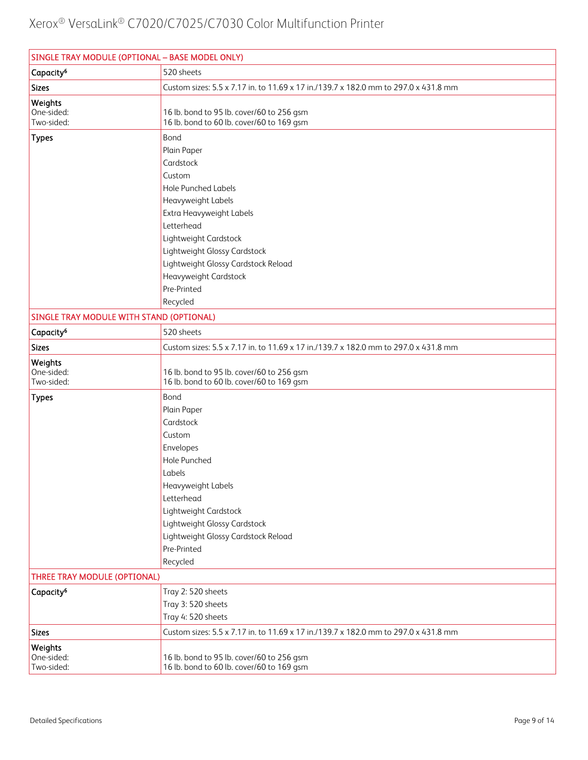| SINGLE TRAY MODULE (OPTIONAL - BASE MODEL ONLY) |                                                                                                                                                                                                                                                                                              |
|-------------------------------------------------|----------------------------------------------------------------------------------------------------------------------------------------------------------------------------------------------------------------------------------------------------------------------------------------------|
| Capacity <sup>6</sup>                           | 520 sheets                                                                                                                                                                                                                                                                                   |
| <b>Sizes</b>                                    | Custom sizes: 5.5 x 7.17 in. to 11.69 x 17 in./139.7 x 182.0 mm to 297.0 x 431.8 mm                                                                                                                                                                                                          |
| Weights<br>One-sided:<br>Two-sided:             | 16 lb. bond to 95 lb. cover/60 to 256 gsm<br>16 lb. bond to 60 lb. cover/60 to 169 gsm                                                                                                                                                                                                       |
| <b>Types</b>                                    | Bond<br>Plain Paper<br>Cardstock<br>Custom<br><b>Hole Punched Labels</b><br>Heavyweight Labels<br>Extra Heavyweight Labels<br>Letterhead<br>Lightweight Cardstock<br>Lightweight Glossy Cardstock<br>Lightweight Glossy Cardstock Reload<br>Heavyweight Cardstock<br>Pre-Printed<br>Recycled |
|                                                 |                                                                                                                                                                                                                                                                                              |
| SINGLE TRAY MODULE WITH STAND (OPTIONAL)        | 520 sheets                                                                                                                                                                                                                                                                                   |
| Capacity <sup>6</sup><br><b>Sizes</b>           | Custom sizes: 5.5 x 7.17 in. to 11.69 x 17 in./139.7 x 182.0 mm to 297.0 x 431.8 mm                                                                                                                                                                                                          |
|                                                 |                                                                                                                                                                                                                                                                                              |
| Weights<br>One-sided:<br>Two-sided:             | 16 lb. bond to 95 lb. cover/60 to 256 gsm<br>16 lb. bond to 60 lb. cover/60 to 169 gsm                                                                                                                                                                                                       |
| <b>Types</b>                                    | Bond<br>Plain Paper<br>Cardstock<br>Custom<br>Envelopes<br>Hole Punched<br>Labels<br>Heavyweight Labels<br>Letterhead<br>Lightweight Cardstock<br>Lightweight Glossy Cardstock<br>Lightweight Glossy Cardstock Reload<br>Pre-Printed<br>Recycled                                             |
| THREE TRAY MODULE (OPTIONAL)                    |                                                                                                                                                                                                                                                                                              |
| Capacity <sup>6</sup>                           | Tray 2:520 sheets<br>Tray 3: 520 sheets<br>Tray 4: 520 sheets                                                                                                                                                                                                                                |
| <b>Sizes</b>                                    | Custom sizes: 5.5 x 7.17 in. to 11.69 x 17 in./139.7 x 182.0 mm to 297.0 x 431.8 mm                                                                                                                                                                                                          |
| Weights<br>One-sided:<br>Two-sided:             | 16 lb. bond to 95 lb. cover/60 to 256 gsm<br>16 lb. bond to 60 lb. cover/60 to 169 gsm                                                                                                                                                                                                       |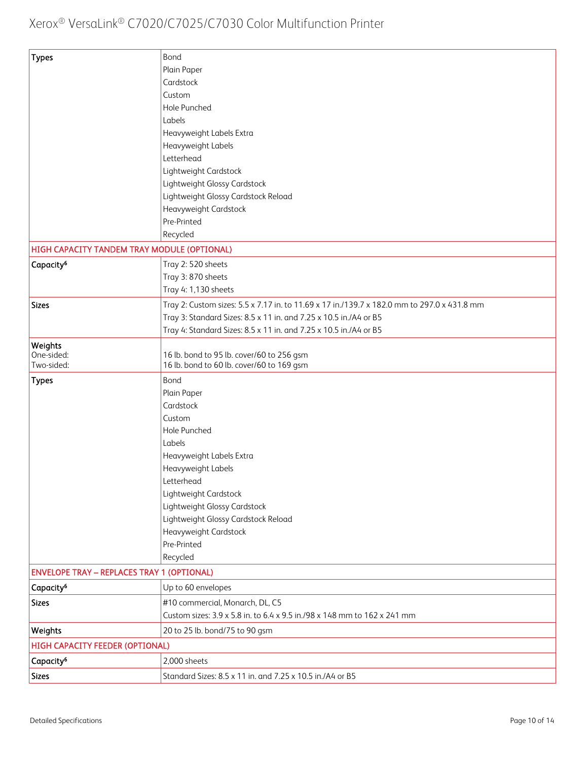| <b>Types</b>                                      | Bond                                                                                        |
|---------------------------------------------------|---------------------------------------------------------------------------------------------|
|                                                   | Plain Paper                                                                                 |
|                                                   | Cardstock                                                                                   |
|                                                   | Custom                                                                                      |
|                                                   | Hole Punched                                                                                |
|                                                   | Labels                                                                                      |
|                                                   | Heavyweight Labels Extra                                                                    |
|                                                   | Heavyweight Labels                                                                          |
|                                                   | Letterhead                                                                                  |
|                                                   | Lightweight Cardstock                                                                       |
|                                                   | Lightweight Glossy Cardstock                                                                |
|                                                   | Lightweight Glossy Cardstock Reload                                                         |
|                                                   | Heavyweight Cardstock                                                                       |
|                                                   | Pre-Printed                                                                                 |
|                                                   | Recycled                                                                                    |
| HIGH CAPACITY TANDEM TRAY MODULE (OPTIONAL)       |                                                                                             |
| Capacity <sup>6</sup>                             | Tray 2: 520 sheets                                                                          |
|                                                   | Tray 3: 870 sheets                                                                          |
|                                                   | Tray 4: 1,130 sheets                                                                        |
|                                                   |                                                                                             |
| <b>Sizes</b>                                      | Tray 2: Custom sizes: 5.5 x 7.17 in. to 11.69 x 17 in./139.7 x 182.0 mm to 297.0 x 431.8 mm |
|                                                   | Tray 3: Standard Sizes: 8.5 x 11 in. and 7.25 x 10.5 in./A4 or B5                           |
|                                                   | Tray 4: Standard Sizes: 8.5 x 11 in. and 7.25 x 10.5 in./A4 or B5                           |
| Weights                                           |                                                                                             |
| One-sided:<br>Two-sided:                          | 16 lb. bond to 95 lb. cover/60 to 256 gsm<br>16 lb. bond to 60 lb. cover/60 to 169 gsm      |
| <b>Types</b>                                      | Bond                                                                                        |
|                                                   | Plain Paper                                                                                 |
|                                                   | Cardstock                                                                                   |
|                                                   | Custom                                                                                      |
|                                                   | Hole Punched                                                                                |
|                                                   | Labels                                                                                      |
|                                                   | Heavyweight Labels Extra                                                                    |
|                                                   | Heavyweight Labels                                                                          |
|                                                   | Letterhead                                                                                  |
|                                                   | Lightweight Cardstock                                                                       |
|                                                   | Lightweight Glossy Cardstock                                                                |
|                                                   | Lightweight Glossy Cardstock Reload                                                         |
|                                                   | Heavyweight Cardstock                                                                       |
|                                                   | Pre-Printed                                                                                 |
|                                                   | Recycled                                                                                    |
| <b>ENVELOPE TRAY - REPLACES TRAY 1 (OPTIONAL)</b> |                                                                                             |
| Capacity <sup>6</sup>                             | Up to 60 envelopes                                                                          |
|                                                   |                                                                                             |
| <b>Sizes</b>                                      | #10 commercial, Monarch, DL, C5                                                             |
|                                                   | Custom sizes: 3.9 x 5.8 in. to 6.4 x 9.5 in./98 x 148 mm to 162 x 241 mm                    |
| Weights                                           | 20 to 25 lb. bond/75 to 90 gsm                                                              |
| HIGH CAPACITY FEEDER (OPTIONAL)                   |                                                                                             |
| Capacity <sup>6</sup>                             | 2,000 sheets                                                                                |
| <b>Sizes</b>                                      | Standard Sizes: 8.5 x 11 in. and 7.25 x 10.5 in./A4 or B5                                   |
|                                                   |                                                                                             |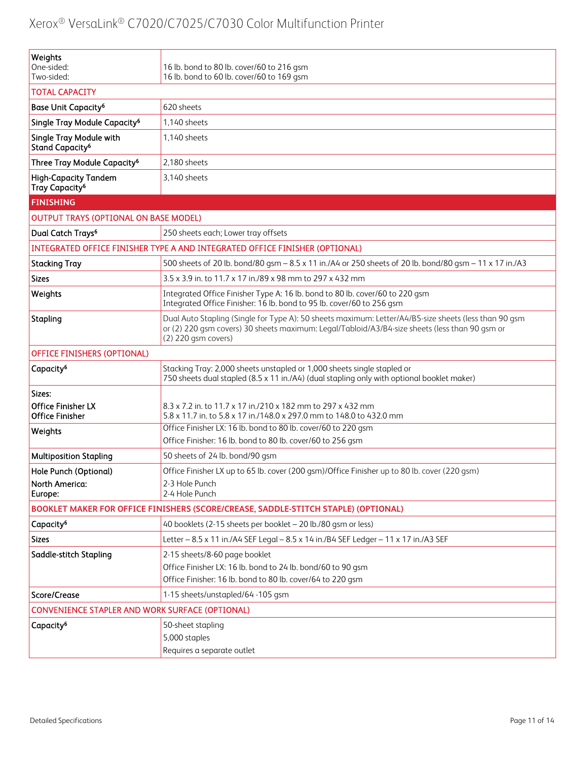| Weights<br>One-sided:                                     |                                                                                                                                                                                                                                |
|-----------------------------------------------------------|--------------------------------------------------------------------------------------------------------------------------------------------------------------------------------------------------------------------------------|
| Two-sided:                                                | 16 lb. bond to 80 lb. cover/60 to 216 gsm<br>16 lb. bond to 60 lb. cover/60 to 169 gsm                                                                                                                                         |
| <b>TOTAL CAPACITY</b>                                     |                                                                                                                                                                                                                                |
| Base Unit Capacity <sup>6</sup>                           | 620 sheets                                                                                                                                                                                                                     |
| Single Tray Module Capacity <sup>6</sup>                  | 1,140 sheets                                                                                                                                                                                                                   |
| Single Tray Module with<br>Stand Capacity <sup>6</sup>    | 1,140 sheets                                                                                                                                                                                                                   |
| Three Tray Module Capacity <sup>6</sup>                   | 2,180 sheets                                                                                                                                                                                                                   |
| <b>High-Capacity Tandem</b><br>Tray Capacity <sup>6</sup> | 3,140 sheets                                                                                                                                                                                                                   |
| <b>FINISHING</b>                                          |                                                                                                                                                                                                                                |
| <b>OUTPUT TRAYS (OPTIONAL ON BASE MODEL)</b>              |                                                                                                                                                                                                                                |
| Dual Catch Trays <sup>6</sup>                             | 250 sheets each; Lower tray offsets                                                                                                                                                                                            |
|                                                           | INTEGRATED OFFICE FINISHER TYPE A AND INTEGRATED OFFICE FINISHER (OPTIONAL)                                                                                                                                                    |
| <b>Stacking Tray</b>                                      | 500 sheets of 20 lb. bond/80 gsm - 8.5 x 11 in./A4 or 250 sheets of 20 lb. bond/80 gsm - 11 x 17 in./A3                                                                                                                        |
| <b>Sizes</b>                                              | 3.5 x 3.9 in. to 11.7 x 17 in./89 x 98 mm to 297 x 432 mm                                                                                                                                                                      |
| Weights                                                   | Integrated Office Finisher Type A: 16 lb. bond to 80 lb. cover/60 to 220 gsm<br>Integrated Office Finisher: 16 lb. bond to 95 lb. cover/60 to 256 gsm                                                                          |
| Stapling                                                  | Dual Auto Stapling (Single for Type A): 50 sheets maximum: Letter/A4/B5-size sheets (less than 90 gsm<br>or (2) 220 gsm covers) 30 sheets maximum: Legal/Tabloid/A3/B4-size sheets (less than 90 gsm or<br>(2) 220 gsm covers) |
| <b>OFFICE FINISHERS (OPTIONAL)</b>                        |                                                                                                                                                                                                                                |
| Capacity <sup>6</sup>                                     | Stacking Tray: 2,000 sheets unstapled or 1,000 sheets single stapled or<br>750 sheets dual stapled (8.5 x 11 in./A4) (dual stapling only with optional booklet maker)                                                          |
| Sizes:                                                    |                                                                                                                                                                                                                                |
| <b>Office Finisher LX</b><br><b>Office Finisher</b>       | 8.3 x 7.2 in. to 11.7 x 17 in./210 x 182 mm to 297 x 432 mm<br>5.8 x 11.7 in. to 5.8 x 17 in./148.0 x 297.0 mm to 148.0 to 432.0 mm                                                                                            |
| Weights                                                   | Office Finisher LX: 16 lb. bond to 80 lb. cover/60 to 220 gsm                                                                                                                                                                  |
|                                                           | Office Finisher: 16 lb. bond to 80 lb. cover/60 to 256 gsm                                                                                                                                                                     |
| <b>Multiposition Stapling</b>                             | 50 sheets of 24 lb. bond/90 gsm                                                                                                                                                                                                |
| Hole Punch (Optional)<br>North America:<br>Europe:        | Office Finisher LX up to 65 lb. cover (200 gsm)/Office Finisher up to 80 lb. cover (220 gsm)<br>2-3 Hole Punch<br>2-4 Hole Punch                                                                                               |
|                                                           | BOOKLET MAKER FOR OFFICE FINISHERS (SCORE/CREASE, SADDLE-STITCH STAPLE) (OPTIONAL)                                                                                                                                             |
| Capacity <sup>6</sup>                                     | 40 booklets (2-15 sheets per booklet - 20 lb./80 gsm or less)                                                                                                                                                                  |
| <b>Sizes</b>                                              | Letter - 8.5 x 11 in./A4 SEF Legal - 8.5 x 14 in./B4 SEF Ledger - 11 x 17 in./A3 SEF                                                                                                                                           |
| Saddle-stitch Stapling                                    | 2-15 sheets/8-60 page booklet                                                                                                                                                                                                  |
|                                                           | Office Finisher LX: 16 lb. bond to 24 lb. bond/60 to 90 gsm                                                                                                                                                                    |
|                                                           | Office Finisher: 16 lb. bond to 80 lb. cover/64 to 220 gsm                                                                                                                                                                     |
| Score/Crease                                              | 1-15 sheets/unstapled/64 -105 gsm                                                                                                                                                                                              |
| CONVENIENCE STAPLER AND WORK SURFACE (OPTIONAL)           |                                                                                                                                                                                                                                |
| Capacity <sup>6</sup>                                     | 50-sheet stapling                                                                                                                                                                                                              |
|                                                           | 5,000 staples                                                                                                                                                                                                                  |
|                                                           | Requires a separate outlet                                                                                                                                                                                                     |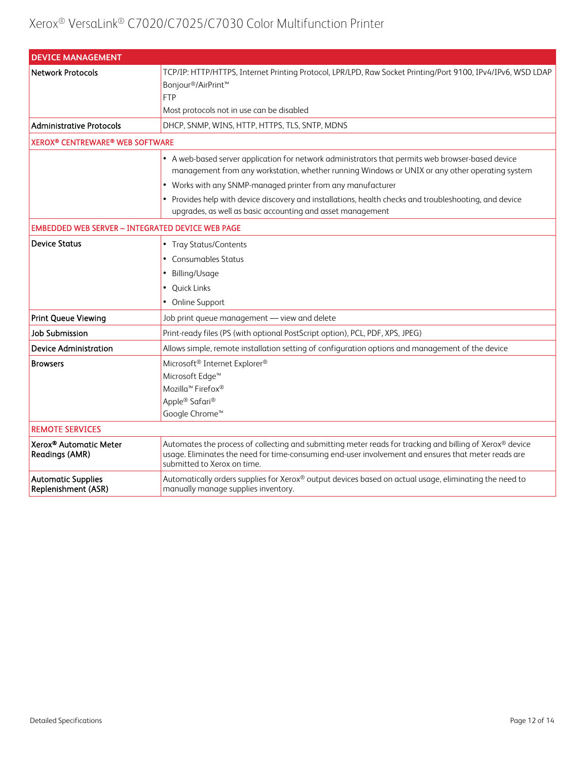| <b>DEVICE MANAGEMENT</b>                                    |                                                                                                                                                                                                                                                                                                                                                                                                                                            |  |
|-------------------------------------------------------------|--------------------------------------------------------------------------------------------------------------------------------------------------------------------------------------------------------------------------------------------------------------------------------------------------------------------------------------------------------------------------------------------------------------------------------------------|--|
| <b>Network Protocols</b>                                    | TCP/IP: HTTP/HTTPS, Internet Printing Protocol, LPR/LPD, Raw Socket Printing/Port 9100, IPv4/IPv6, WSD LDAP<br>Bonjour <sup>®</sup> /AirPrint <sup>™</sup><br><b>FTP</b><br>Most protocols not in use can be disabled                                                                                                                                                                                                                      |  |
| <b>Administrative Protocols</b>                             | DHCP, SNMP, WINS, HTTP, HTTPS, TLS, SNTP, MDNS                                                                                                                                                                                                                                                                                                                                                                                             |  |
| <b>XEROX® CENTREWARE® WEB SOFTWARE</b>                      |                                                                                                                                                                                                                                                                                                                                                                                                                                            |  |
|                                                             | • A web-based server application for network administrators that permits web browser-based device<br>management from any workstation, whether running Windows or UNIX or any other operating system<br>• Works with any SNMP-managed printer from any manufacturer<br>• Provides help with device discovery and installations, health checks and troubleshooting, and device<br>upgrades, as well as basic accounting and asset management |  |
|                                                             |                                                                                                                                                                                                                                                                                                                                                                                                                                            |  |
| <b>EMBEDDED WEB SERVER - INTEGRATED DEVICE WEB PAGE</b>     |                                                                                                                                                                                                                                                                                                                                                                                                                                            |  |
| <b>Device Status</b>                                        | • Tray Status/Contents                                                                                                                                                                                                                                                                                                                                                                                                                     |  |
|                                                             | • Consumables Status                                                                                                                                                                                                                                                                                                                                                                                                                       |  |
|                                                             | Billing/Usage                                                                                                                                                                                                                                                                                                                                                                                                                              |  |
|                                                             | • Quick Links                                                                                                                                                                                                                                                                                                                                                                                                                              |  |
|                                                             | • Online Support                                                                                                                                                                                                                                                                                                                                                                                                                           |  |
| Print Queue Viewing                                         | Job print queue management - view and delete                                                                                                                                                                                                                                                                                                                                                                                               |  |
| <b>Job Submission</b>                                       | Print-ready files (PS (with optional PostScript option), PCL, PDF, XPS, JPEG)                                                                                                                                                                                                                                                                                                                                                              |  |
| Device Administration                                       | Allows simple, remote installation setting of configuration options and management of the device                                                                                                                                                                                                                                                                                                                                           |  |
| <b>Browsers</b>                                             | Microsoft <sup>®</sup> Internet Explorer <sup>®</sup><br>Microsoft Edge <sup>™</sup><br>Mozilla <sup>™</sup> Firefox®<br>Apple® Safari®<br>Google Chrome <sup>™</sup>                                                                                                                                                                                                                                                                      |  |
| <b>REMOTE SERVICES</b>                                      |                                                                                                                                                                                                                                                                                                                                                                                                                                            |  |
| Xerox <sup>®</sup> Automatic Meter<br><b>Readings (AMR)</b> | Automates the process of collecting and submitting meter reads for tracking and billing of Xerox® device<br>usage. Eliminates the need for time-consuming end-user involvement and ensures that meter reads are<br>submitted to Xerox on time.                                                                                                                                                                                             |  |
| <b>Automatic Supplies</b><br>Replenishment (ASR)            | Automatically orders supplies for Xerox® output devices based on actual usage, eliminating the need to<br>manually manage supplies inventory.                                                                                                                                                                                                                                                                                              |  |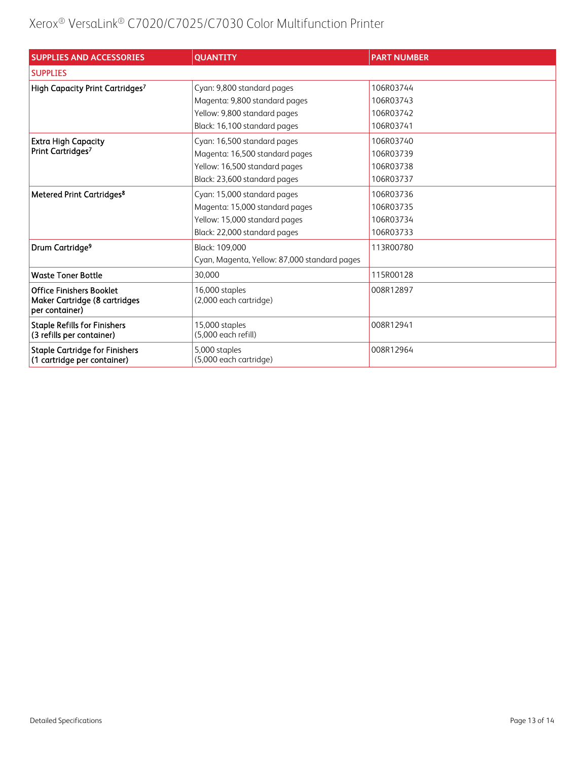| <b>SUPPLIES AND ACCESSORIES</b>                                      | <b>QUANTITY</b>                              | <b>PART NUMBER</b> |
|----------------------------------------------------------------------|----------------------------------------------|--------------------|
| <b>SUPPLIES</b>                                                      |                                              |                    |
| High Capacity Print Cartridges7                                      | Cyan: 9,800 standard pages                   | 106R03744          |
|                                                                      | Magenta: 9,800 standard pages                | 106R03743          |
|                                                                      | Yellow: 9,800 standard pages                 | 106R03742          |
|                                                                      | Black: 16,100 standard pages                 | 106R03741          |
| <b>Extra High Capacity</b><br>Print Cartridges <sup>7</sup>          | Cyan: 16,500 standard pages                  | 106R03740          |
|                                                                      | Magenta: 16,500 standard pages               | 106R03739          |
|                                                                      | Yellow: 16,500 standard pages                | 106R03738          |
|                                                                      | Black: 23,600 standard pages                 | 106R03737          |
| Metered Print Cartridges <sup>8</sup>                                | Cyan: 15,000 standard pages                  | 106R03736          |
|                                                                      | Magenta: 15,000 standard pages               | 106R03735          |
|                                                                      | Yellow: 15,000 standard pages                | 106R03734          |
|                                                                      | Black: 22,000 standard pages                 | 106R03733          |
| Drum Cartridge <sup>9</sup>                                          | Black: 109.000                               | 113R00780          |
|                                                                      | Cyan, Magenta, Yellow: 87,000 standard pages |                    |
| <b>Waste Toner Bottle</b>                                            | 30.000                                       | 115R00128          |
| <b>Office Finishers Booklet</b><br>Maker Cartridge (8 cartridges     | 16,000 staples<br>(2,000 each cartridge)     | 008R12897          |
| per container)                                                       |                                              |                    |
| <b>Staple Refills for Finishers</b><br>(3 refills per container)     | 15,000 staples<br>(5.000 each refill)        | 008R12941          |
| <b>Staple Cartridge for Finishers</b><br>(1 cartridge per container) | 5,000 staples<br>(5,000 each cartridge)      | 008R12964          |